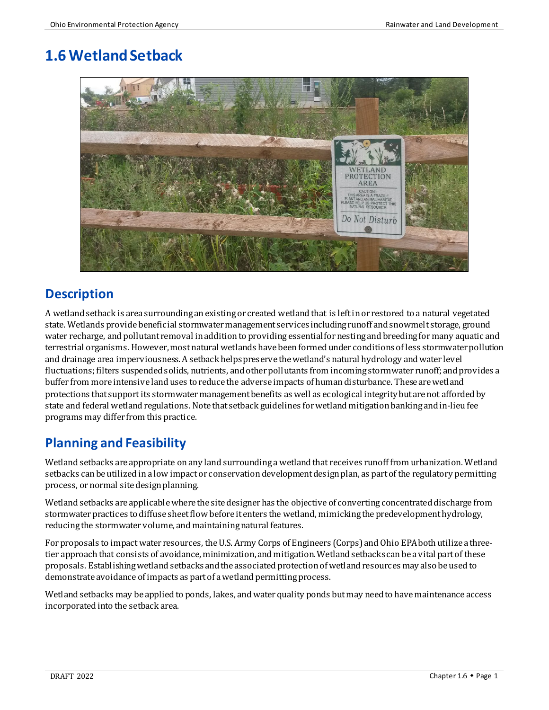# **1.6 Wetland Setback**



# **Description**

A wetland setback is area surrounding anexisting or created wetland that is left in or restored to a natural vegetated state. Wetlands provide beneficial stormwater management services including runoff and snowmelt storage, ground water recharge, and pollutant removal in addition to providing essential for nesting and breeding for many aquatic and terrestrial organisms. However, most natural wetlands have been formed under conditions of less stormwater pollution and drainage area imperviousness. A setback helps preserve the wetland's natural hydrology and water level fluctuations; filters suspended solids, nutrients, and other pollutants from incoming stormwater runoff; and provides a buffer from more intensive land uses to reduce the adverse impacts of human disturbance. These arewetland protections that support its stormwater management benefits as well as ecological integrity but are not afforded by state and federal wetland regulations. Note that setback guidelines for wetland mitigation bankingand in-lieu fee programs may differ from this practice.

# **Planning and Feasibility**

Wetland setbacks are appropriate on any land surrounding a wetland that receives runoff from urbanization. Wetland setbacks can be utilized in a low impact or conservation development design plan, as part of the regulatory permitting process, or normal site design planning.

Wetland setbacks are applicable where the site designer has the objective of converting concentrated discharge from stormwater practices to diffuse sheetflow before it enters the wetland, mimicking the predevelopment hydrology, reducing the stormwatervolume, and maintaining natural features.

For proposals to impact water resources, the U.S. Army Corps of Engineers (Corps) and Ohio EPA both utilize a threetier approach that consists of avoidance, minimization, and mitigation. Wetland setbacks can be a vital part of these proposals. Establishing wetland setbacks and the associated protection of wetland resources may also be used to demonstrate avoidance of impacts as part of a wetland permitting process.

Wetland setbacks may be applied to ponds, lakes, and water quality ponds but may need to have maintenance access incorporated into the setback area.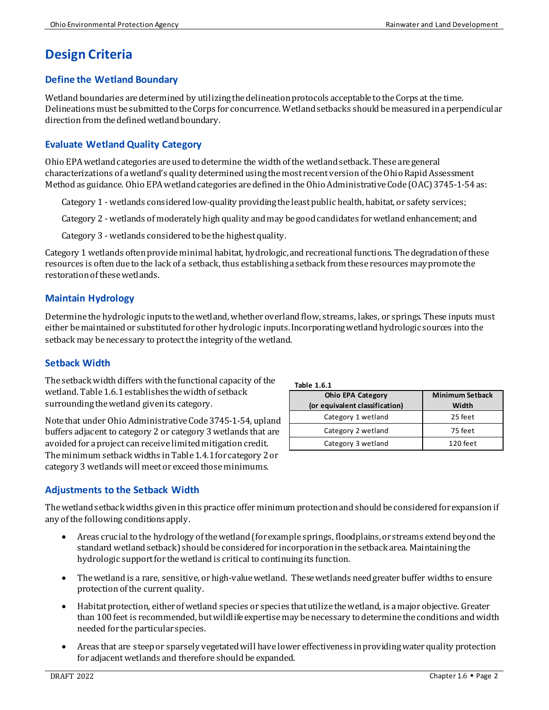# **Design Criteria**

### **Define the Wetland Boundary**

Wetland boundaries are determined by utilizing the delineation protocols acceptable to the Corps at the time. Delineations must be submitted to the Corps for concurrence. Wetland setbacks should be measured in a perpendicular direction from the defined wetland boundary.

### **Evaluate Wetland Quality Category**

Ohio EPA wetland categories are used to determine the width of the wetland setback. These are general characterizations of a wetland's quality determined using the most recent version of the Ohio Rapid Assessment Method as guidance. Ohio EPA wetland categories are defined in the Ohio Administrative Code (OAC) 3745-1-54as:

Category 1 - wetlands considered low-quality providing the least public health, habitat, or safety services;

Category 2 - wetlands of moderately high quality and may be good candidates for wetland enhancement; and

Category 3 - wetlands considered to be the highest quality.

Category 1 wetlands often provide minimal habitat, hydrologic,and recreational functions. Thedegradation of these resources is often due to the lack of a setback, thus establishing a setback from these resources may promote the restoration of these wetlands.

### **Maintain Hydrology**

Determine the hydrologic inputs to the wetland, whether overland flow, streams, lakes, or springs. These inputs must either be maintained or substituted for other hydrologic inputs. Incorporating wetland hydrologic sources into the setback may be necessary to protect the integrity of the wetland.

#### **Setback Width**

The setback width differs with the functional capacity of the wetland. Table 1.6.1 establishes the width of setback surrounding the wetland given its category.

Note that under Ohio Administrative Code3745-1-54, upland buffers adjacent to category 2 or category 3 wetlands that are avoided for a project can receive limited mitigation credit. The minimum setback widths in Table 1.4.1 for category 2 or category 3 wetlands will meet or exceed those minimums.

### **Adjustments to the Setback Width**

The wetland setback widths given in this practice offer minimum protection and should be considered for expansion if any of the following conditions apply.

- Areas crucial to the hydrology of the wetland (for example springs, floodplains,or streams extend beyond the standard wetland setback) should be considered for incorporation in the setback area. Maintaining the hydrologic support for the wetland is critical to continuing its function.
- The wetland is a rare, sensitive, or high-value wetland. These wetlands need greater buffer widths to ensure protection of the current quality.
- Habitat protection, either of wetland species or species that utilize the wetland, is a major objective. Greater than 100 feet is recommended, but wildlife expertise may be necessary to determine the conditions and width needed for the particular species.
- Areas that are steep or sparsely vegetated will have lower effectiveness in providing water quality protection for adjacent wetlands and therefore should be expanded.

| Table 1.6.1 |     |
|-------------|-----|
|             | hin |

| <b>Ohio EPA Category</b><br>(or equivalent classification) | <b>Minimum Setback</b><br>Width |
|------------------------------------------------------------|---------------------------------|
| Category 1 wetland                                         | 25 feet                         |
| Category 2 wetland                                         | 75 feet                         |
| Category 3 wetland                                         | 120 feet                        |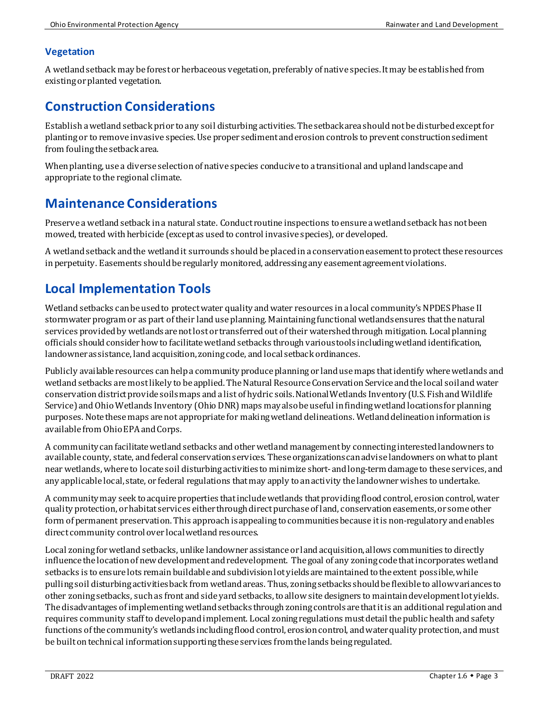### **Vegetation**

A wetlandsetback may be forest or herbaceous vegetation, preferably of native species.It may be established from existing or planted vegetation.

### **Construction Considerations**

Establish a wetland setback prior to any soil disturbing activities. The setback area should not be disturbed except for planting or to remove invasive species. Use proper sediment and erosion controls to prevent construction sediment from fouling the setback area.

When planting, use a diverse selection of native species conducive to a transitional and upland landscape and appropriate to the regional climate.

# **Maintenance Considerations**

Preserve a wetland setback in a natural state. Conduct routine inspections to ensure a wetland setback has not been mowed, treated with herbicide (except as used to control invasive species), or developed.

A wetland setback and the wetland it surrounds should be placed in a conservation easement to protect these resources in perpetuity. Easements should be regularly monitored, addressing any easement agreement violations.

# **Local Implementation Tools**

Wetland setbacks can be used to protect water quality and water resources in a local community's NPDES Phase II stormwater program or as part of their land use planning. Maintaining functional wetlands ensures that the natural services provided by wetlands are not lost or transferred out of their watershed through mitigation. Local planning officials should consider how to facilitate wetland setbacks through various tools including wetland identification, landowner assistance, land acquisition, zoning code, and local setback ordinances.

Publicly available resources can help a communityproduce planning or land use maps that identify where wetlands and wetland setbacks are most likely to be applied. The Natural Resource Conservation Service and the local soil and water conservation district provide soils maps and a list of hydric soils. National Wetlands Inventory (U.S. Fish and Wildlife Service) and Ohio Wetlands Inventory (Ohio DNR) maps may also be useful in finding wetland locations for planning purposes. Note these maps are not appropriate for making wetland delineations. Wetland delineation information is available from Ohio EPA and Corps.

A communitycan facilitate wetland setbacks and other wetland management by connecting interested landowners to available county, state, and federal conservation services. These organizations can advise landowners on what to plant near wetlands, where to locate soil disturbing activities to minimize short- and long-term damage to these services, and any applicable local, state, or federal regulations that may apply to an activity the landowner wishes to undertake.

A communitymay seek to acquire properties that include wetlands that providing flood control, erosion control, water quality protection, or habitat services either through direct purchase of land, conservation easements, or some other form of permanent preservation. This approach is appealing to communities because it is non-regulatory and enables direct community control over local wetland resources.

Local zoning for wetland setbacks, unlike landowner assistance or land acquisition, allows communities to directly influence the location of new development and redevelopment. The goal of any zoning code that incorporates wetland setbacks is to ensure lots remain buildable and subdivision lot yields are maintained to the extent possible, while pulling soil disturbing activities back from wetland areas. Thus, zoning setbacks should be flexible to allow variances to other zoning setbacks, such as front and side yard setbacks, to allow site designers to maintain development lot yields. The disadvantages of implementing wetland setbacks through zoning controls are that it is an additional regulation and requires community staff to develop and implement. Local zoning regulations must detail the public health and safety functions of the community's wetlands including flood control, erosion control, and water quality protection, and must be built on technical information supporting these services from the lands being regulated.